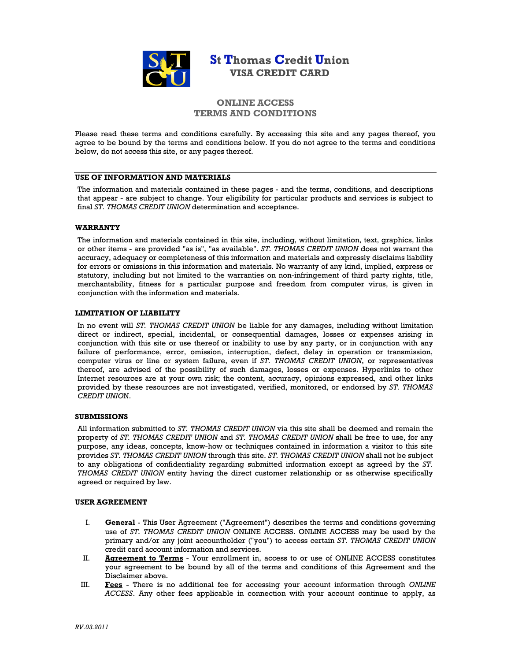

# **St Thomas Credit Union VISA CREDIT CARD**

# **ONLINE ACCESS TERMS AND CONDITIONS**

Please read these terms and conditions carefully. By accessing this site and any pages thereof, you agree to be bound by the terms and conditions below. If you do not agree to the terms and conditions below, do not access this site, or any pages thereof.

### **USE OF INFORMATION AND MATERIALS**

The information and materials contained in these pages - and the terms, conditions, and descriptions that appear - are subject to change. Your eligibility for particular products and services is subject to final *ST. THOMAS CREDIT UNION* determination and acceptance.

### **WARRANTY**

The information and materials contained in this site, including, without limitation, text, graphics, links or other items - are provided "as is", "as available". *ST. THOMAS CREDIT UNION* does not warrant the accuracy, adequacy or completeness of this information and materials and expressly disclaims liability for errors or omissions in this information and materials. No warranty of any kind, implied, express or statutory, including but not limited to the warranties on non-infringement of third party rights, title, merchantability, fitness for a particular purpose and freedom from computer virus, is given in conjunction with the information and materials.

## **LIMITATION OF LIABILITY**

In no event will *ST. THOMAS CREDIT UNION* be liable for any damages, including without limitation direct or indirect, special, incidental, or consequential damages, losses or expenses arising in conjunction with this site or use thereof or inability to use by any party, or in conjunction with any failure of performance, error, omission, interruption, defect, delay in operation or transmission, computer virus or line or system failure, even if *ST. THOMAS CREDIT UNION*, or representatives thereof, are advised of the possibility of such damages, losses or expenses. Hyperlinks to other Internet resources are at your own risk; the content, accuracy, opinions expressed, and other links provided by these resources are not investigated, verified, monitored, or endorsed by *ST. THOMAS CREDIT UNIO*N.

#### **SUBMISSIONS**

All information submitted to *ST. THOMAS CREDIT UNION* via this site shall be deemed and remain the property of *ST. THOMAS CREDIT UNION* and *ST. THOMAS CREDIT UNION* shall be free to use, for any purpose, any ideas, concepts, know-how or techniques contained in information a visitor to this site provides *ST. THOMAS CREDIT UNION* through this site. *ST. THOMAS CREDIT UNION* shall not be subject to any obligations of confidentiality regarding submitted information except as agreed by the *ST. THOMAS CREDIT UNION* entity having the direct customer relationship or as otherwise specifically agreed or required by law.

#### **USER AGREEMENT**

- I. **General** This User Agreement ("Agreement") describes the terms and conditions governing use of *ST. THOMAS CREDIT UNION* ONLINE ACCESS. ONLINE ACCESS may be used by the primary and/or any joint accountholder ("you") to access certain *ST. THOMAS CREDIT UNION* credit card account information and services.
- II. **Agreement to Terms** Your enrollment in, access to or use of ONLINE ACCESS constitutes your agreement to be bound by all of the terms and conditions of this Agreement and the Disclaimer above.
- III. **Fees** There is no additional fee for accessing your account information through *ONLINE ACCESS*. Any other fees applicable in connection with your account continue to apply, as